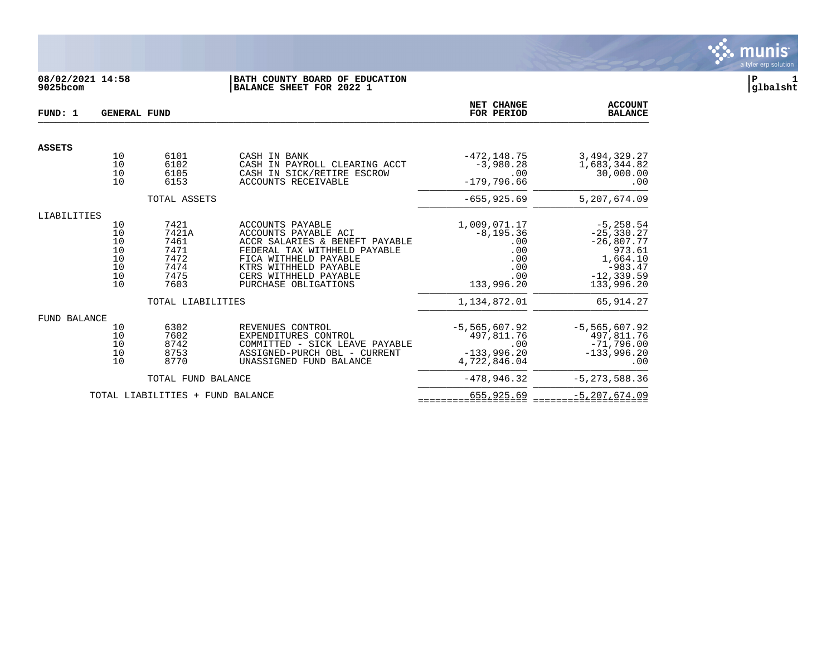

## **08/02/2021 14:58 |BATH COUNTY BOARD OF EDUCATION |P 1 9025bcom |BALANCE SHEET FOR 2022 1 |glbalsht**

| FUND: 1             | <b>GENERAL FUND</b> |                                  |                                                                | NET CHANGE<br>FOR PERIOD      | <b>ACCOUNT</b><br><b>BALANCE</b> |
|---------------------|---------------------|----------------------------------|----------------------------------------------------------------|-------------------------------|----------------------------------|
| <b>ASSETS</b>       |                     |                                  |                                                                |                               |                                  |
|                     | 10<br>10            | 6101<br>6102                     | CASH IN BANK<br>CASH IN PAYROLL CLEARING ACCT                  | $-472, 148.75$<br>$-3,980.28$ | 3, 494, 329. 27<br>1,683,344.82  |
|                     | 10                  | 6105                             | CASH IN SICK/RETIRE ESCROW                                     | .00                           | 30,000.00                        |
|                     | 10                  | 6153                             | ACCOUNTS RECEIVABLE                                            | $-179.796.66$                 | .00                              |
|                     |                     | TOTAL ASSETS                     |                                                                | $-655, 925.69$                | 5,207,674.09                     |
| LIABILITIES         |                     |                                  |                                                                |                               |                                  |
|                     | 10                  | 7421                             | ACCOUNTS PAYABLE                                               | 1,009,071.17                  | $-5, 258.54$                     |
|                     | 10<br>10            | 7421A<br>7461                    | ACCOUNTS PAYABLE ACI<br>ACCR SALARIES & BENEFT PAYABLE         | $-8, 195.36$<br>.00           | $-25, 330.27$                    |
|                     | 10                  | 7471                             | FEDERAL TAX WITHHELD PAYABLE                                   | .00                           | $-26,807.77$<br>973.61           |
|                     | 10                  | 7472                             | FICA WITHHELD PAYABLE                                          | .00                           | 1,664.10                         |
|                     | 10                  | 7474                             | KTRS WITHHELD PAYABLE                                          | .00                           | $-983.47$                        |
|                     | 10                  | 7475                             | CERS WITHHELD PAYABLE                                          | .00                           | $-12, 339.59$                    |
|                     | 10                  | 7603                             | PURCHASE OBLIGATIONS                                           | 133,996.20                    | 133,996.20                       |
|                     |                     | TOTAL LIABILITIES                |                                                                | 1,134,872.01                  | 65, 914.27                       |
| <b>FUND BALANCE</b> |                     |                                  |                                                                |                               |                                  |
|                     | 10                  | 6302                             | REVENUES CONTROL                                               | $-5,565,607.92$               | $-5, 565, 607.92$                |
|                     | 10<br>10            | 7602<br>8742                     | EXPENDITURES CONTROL                                           | 497,811.76                    | 497,811.76                       |
|                     | 10                  | 8753                             | COMMITTED - SICK LEAVE PAYABLE<br>ASSIGNED-PURCH OBL - CURRENT | .00<br>$-133,996.20$          | $-71,796.00$<br>$-133,996.20$    |
|                     | 10                  | 8770                             | UNASSIGNED FUND BALANCE                                        | 4,722,846.04                  | .00                              |
|                     |                     | TOTAL FUND BALANCE               |                                                                | $-478.946.32$                 | $-5, 273, 588.36$                |
|                     |                     | TOTAL LIABILITIES + FUND BALANCE |                                                                | 655,925.69                    | $-5, 207, 674.09$                |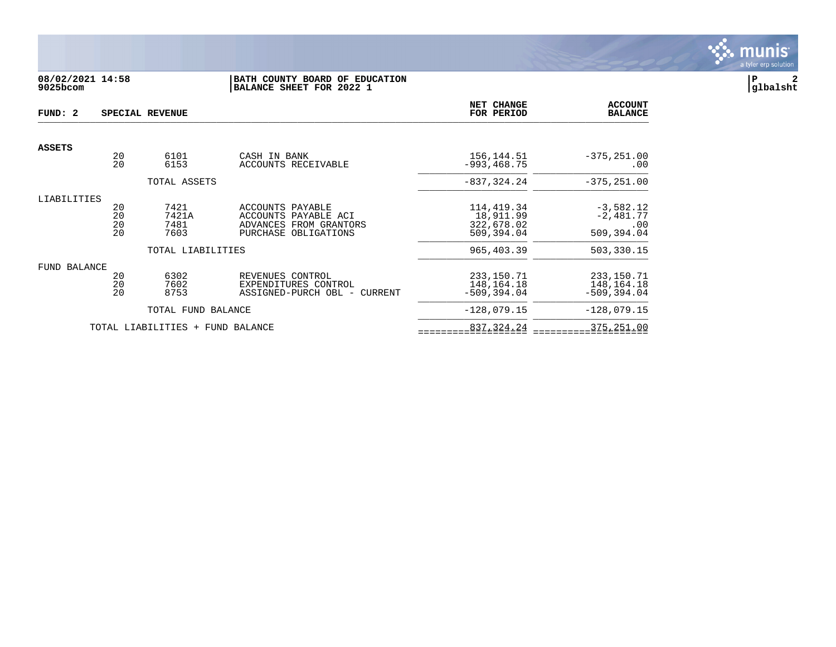

## **08/02/2021 14:58 |BATH COUNTY BOARD OF EDUCATION |P 2 9025bcom |BALANCE SHEET FOR 2022 1 |glbalsht**

| FUND: 2       |                      | SPECIAL REVENUE               |                                                                                            | NET CHANGE<br>FOR PERIOD                            | <b>ACCOUNT</b><br><b>BALANCE</b>                |
|---------------|----------------------|-------------------------------|--------------------------------------------------------------------------------------------|-----------------------------------------------------|-------------------------------------------------|
| <b>ASSETS</b> |                      |                               |                                                                                            |                                                     |                                                 |
|               | 20<br>20             | 6101<br>6153                  | CASH IN BANK<br>ACCOUNTS RECEIVABLE                                                        | 156, 144.51<br>$-993.468.75$                        | $-375, 251.00$<br>.00                           |
|               |                      | TOTAL ASSETS                  |                                                                                            | $-837, 324.24$                                      | $-375, 251.00$                                  |
| LIABILITIES   |                      |                               |                                                                                            |                                                     |                                                 |
|               | 20<br>20<br>20<br>20 | 7421<br>7421A<br>7481<br>7603 | ACCOUNTS PAYABLE<br>ACCOUNTS PAYABLE ACI<br>ADVANCES FROM GRANTORS<br>PURCHASE OBLIGATIONS | 114,419.34<br>18,911.99<br>322,678.02<br>509,394.04 | $-3,582.12$<br>$-2,481.77$<br>.00<br>509,394.04 |
|               |                      | TOTAL LIABILITIES             |                                                                                            | 965,403.39                                          | 503,330.15                                      |
| FUND BALANCE  |                      |                               |                                                                                            |                                                     |                                                 |
|               | 20<br>20<br>20       | 6302<br>7602<br>8753          | REVENUES CONTROL<br>EXPENDITURES CONTROL<br>ASSIGNED-PURCH OBL - CURRENT                   | 233, 150. 71<br>148, 164. 18<br>$-509.394.04$       | 233, 150. 71<br>148, 164. 18<br>$-509, 394.04$  |
|               |                      | TOTAL FUND BALANCE            |                                                                                            | $-128,079.15$                                       | $-128,079.15$                                   |
|               |                      | TOTAL LIABILITIES +           | FUND BALANCE                                                                               | 837, 324. 24                                        | 375,251.00                                      |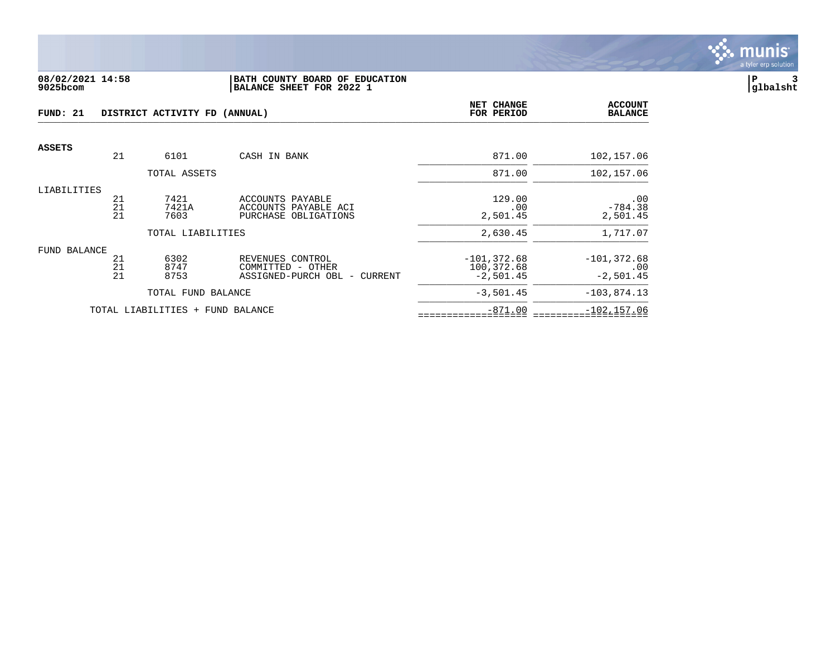

#### **08/02/2021 14:58 |BATH COUNTY BOARD OF EDUCATION |P 3 9025bcom |BALANCE SHEET FOR 2022 1 |glbalsht**

| FUND: 21            |                                               | DISTRICT ACTIVITY FD (ANNUAL)    |                                                                       | NET CHANGE<br>FOR PERIOD                    | <b>ACCOUNT</b><br><b>BALANCE</b>     |
|---------------------|-----------------------------------------------|----------------------------------|-----------------------------------------------------------------------|---------------------------------------------|--------------------------------------|
| <b>ASSETS</b>       |                                               |                                  |                                                                       |                                             |                                      |
|                     | 21                                            | 6101                             | CASH IN BANK                                                          | 871.00                                      | 102,157.06                           |
|                     |                                               | TOTAL ASSETS                     |                                                                       | 871.00                                      | 102,157.06                           |
| LIABILITIES         | 21<br>21<br>21                                | 7421<br>7421A<br>7603            | ACCOUNTS PAYABLE<br>ACCOUNTS PAYABLE ACI<br>PURCHASE OBLIGATIONS      | 129.00<br>.00<br>2,501.45                   | .00<br>$-784.38$<br>2,501.45         |
|                     |                                               | TOTAL LIABILITIES                |                                                                       | 2,630.45                                    | 1,717.07                             |
| <b>FUND BALANCE</b> | 21<br>$\begin{array}{c} 21 \\ 21 \end{array}$ | 6302<br>8747<br>8753             | REVENUES CONTROL<br>COMMITTED - OTHER<br>ASSIGNED-PURCH OBL - CURRENT | $-101, 372.68$<br>100,372.68<br>$-2,501.45$ | $-101, 372.68$<br>.00<br>$-2,501.45$ |
|                     |                                               | TOTAL FUND BALANCE               |                                                                       | $-3,501.45$                                 | $-103,874.13$                        |
|                     |                                               | TOTAL LIABILITIES + FUND BALANCE |                                                                       | $-871.00$                                   | $-102, 157.06$                       |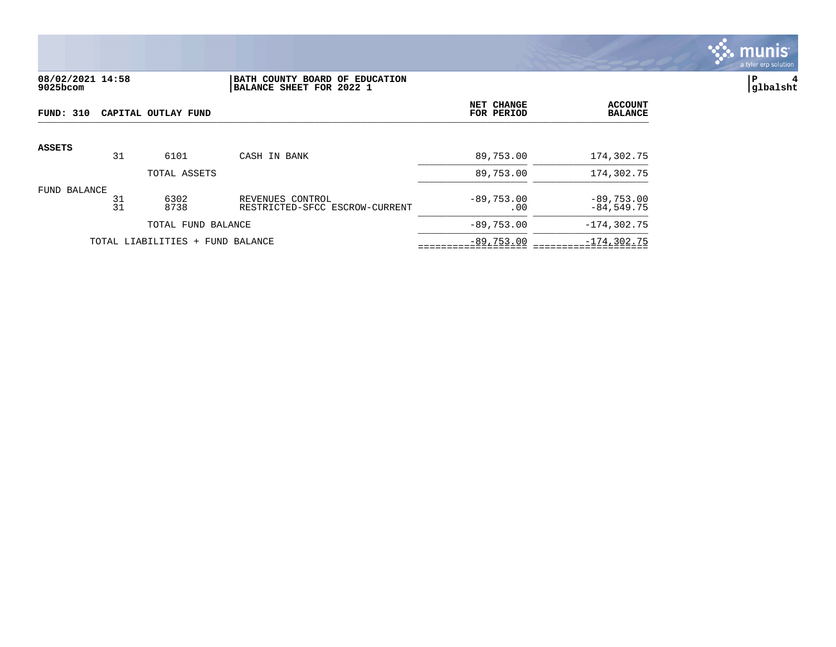

## **08/02/2021 14:58 |BATH COUNTY BOARD OF EDUCATION |P 4 9025bcom |BALANCE SHEET FOR 2022 1 |glbalsht**

| FUND: 310                        |          | CAPITAL OUTLAY FUND |                                                    | NET CHANGE<br>FOR PERIOD | <b>ACCOUNT</b><br><b>BALANCE</b> |
|----------------------------------|----------|---------------------|----------------------------------------------------|--------------------------|----------------------------------|
| <b>ASSETS</b>                    |          |                     |                                                    |                          |                                  |
|                                  | 31       | 6101                | CASH IN BANK                                       | 89,753.00                | 174,302.75                       |
|                                  |          | TOTAL ASSETS        |                                                    | 89,753.00                | 174,302.75                       |
| FUND BALANCE                     | 31<br>31 | 6302<br>8738        | REVENUES CONTROL<br>RESTRICTED-SFCC ESCROW-CURRENT | $-89,753,00$<br>.00      | $-89,753.00$<br>$-84, 549, 75$   |
|                                  |          | TOTAL FUND BALANCE  |                                                    | $-89,753.00$             | $-174, 302.75$                   |
| TOTAL LIABILITIES + FUND BALANCE |          |                     |                                                    | $-89,753.00$             | $-174, 302.75$                   |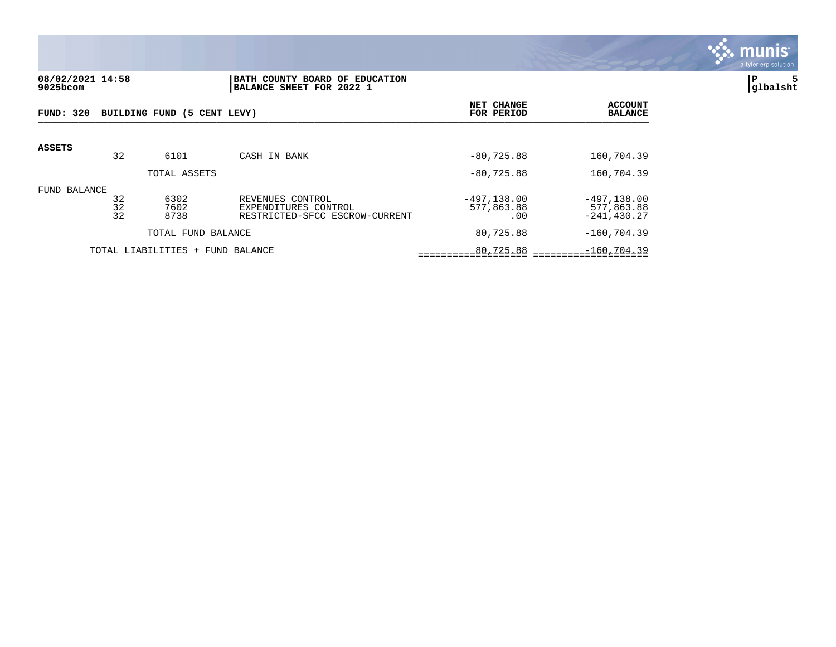

### **08/02/2021 14:58 |BATH COUNTY BOARD OF EDUCATION |P 5 9025bcom |BALANCE SHEET FOR 2022 1 |glbalsht**

| <b>FUND: 320</b>                 |                | BUILDING FUND (5 CENT LEVY) |                                                                            | NET CHANGE<br>FOR PERIOD           | <b>ACCOUNT</b><br><b>BALANCE</b>               |
|----------------------------------|----------------|-----------------------------|----------------------------------------------------------------------------|------------------------------------|------------------------------------------------|
| <b>ASSETS</b>                    | 32             | 6101                        | CASH IN BANK                                                               | $-80, 725, 88$                     | 160,704.39                                     |
|                                  |                | TOTAL ASSETS                |                                                                            | $-80, 725.88$                      | 160,704.39                                     |
| FUND BALANCE                     | 32<br>32<br>32 | 6302<br>7602<br>8738        | REVENUES CONTROL<br>EXPENDITURES CONTROL<br>RESTRICTED-SFCC ESCROW-CURRENT | $-497.138.00$<br>577,863.88<br>.00 | $-497, 138.00$<br>577,863.88<br>$-241, 430.27$ |
|                                  |                | TOTAL FUND BALANCE          |                                                                            | 80,725.88                          | $-160, 704.39$                                 |
| TOTAL LIABILITIES + FUND BALANCE |                |                             | 80,725.88                                                                  | $-160, 704.39$                     |                                                |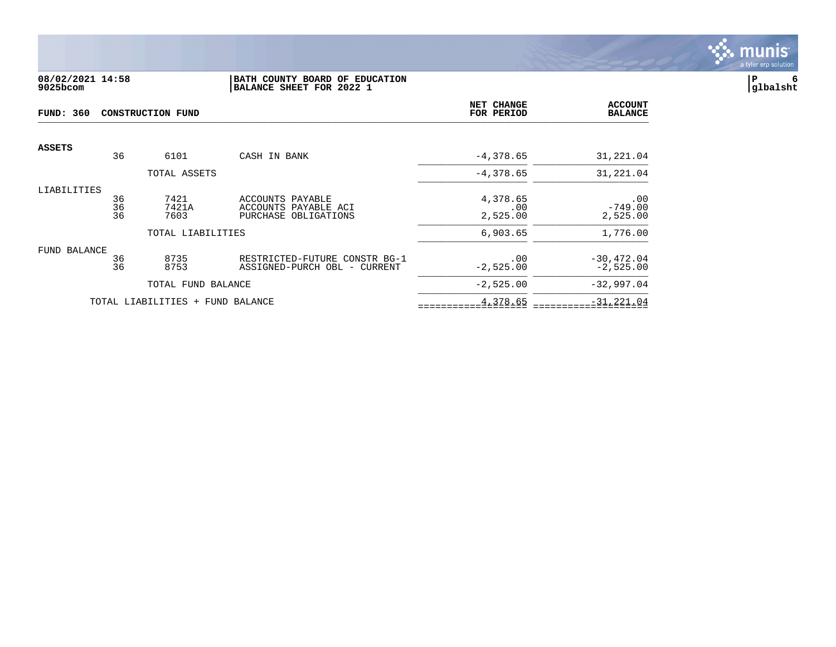

## **08/02/2021 14:58 |BATH COUNTY BOARD OF EDUCATION |P 6 9025bcom |BALANCE SHEET FOR 2022 1 |glbalsht**

| <b>FUND: 360</b>                 | <b>CONSTRUCTION FUND</b> |                    |                               |               | <b>ACCOUNT</b><br><b>BALANCE</b> |
|----------------------------------|--------------------------|--------------------|-------------------------------|---------------|----------------------------------|
| <b>ASSETS</b>                    |                          |                    |                               |               |                                  |
|                                  | 36                       | 6101               | CASH IN BANK                  | $-4,378.65$   | 31,221.04                        |
|                                  |                          | TOTAL ASSETS       |                               | $-4,378.65$   | 31,221.04                        |
| LIABILITIES                      |                          |                    |                               |               |                                  |
|                                  | 36<br>36                 | 7421               | ACCOUNTS PAYABLE              | 4,378.65      | .00                              |
|                                  |                          | 7421A              | ACCOUNTS PAYABLE ACI          | .00           | $-749.00$                        |
|                                  | 36                       | 7603               | PURCHASE OBLIGATIONS          | 2,525.00      | 2,525.00                         |
|                                  |                          | TOTAL LIABILITIES  |                               | 6,903.65      | 1,776.00                         |
| FUND BALANCE                     |                          |                    |                               |               |                                  |
|                                  | 36                       | 8735               | RESTRICTED-FUTURE CONSTR BG-1 | .00           | $-30, 472.04$                    |
|                                  | 36                       | 8753               | ASSIGNED-PURCH OBL - CURRENT  | $-2,525.00$   | $-2,525.00$                      |
|                                  |                          | TOTAL FUND BALANCE |                               | $-2,525.00$   | $-32,997.04$                     |
| TOTAL LIABILITIES + FUND BALANCE |                          |                    | 4,378.65                      | $-31, 221.04$ |                                  |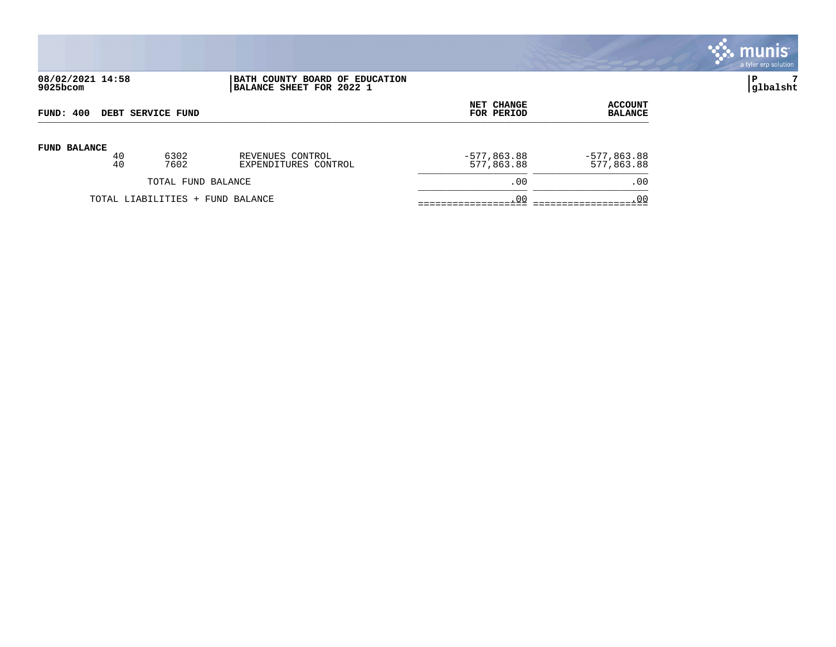

| 08/02/2021 14:58 |  |
|------------------|--|
| 9025bcom         |  |

## **08/02/2021 14:58 |BATH COUNTY BOARD OF EDUCATION |P 7 9025bcom |BALANCE SHEET FOR 2022 1 |glbalsht**

| DEBT SERVICE FUND                |    |      | <b>NET CHANGE</b>    | <b>ACCOUNT</b> |               |
|----------------------------------|----|------|----------------------|----------------|---------------|
| FUND: 400                        |    |      | FOR PERIOD           | <b>BALANCE</b> |               |
| <b>FUND BALANCE</b>              | 40 | 6302 | REVENUES CONTROL     | $-577,863.88$  | $-577,863.88$ |
|                                  | 40 | 7602 | EXPENDITURES CONTROL | 577,863.88     | 577,863.88    |
| TOTAL FUND BALANCE               |    |      | .00                  | .00            |               |
| TOTAL LIABILITIES + FUND BALANCE |    |      | .00                  | .00            |               |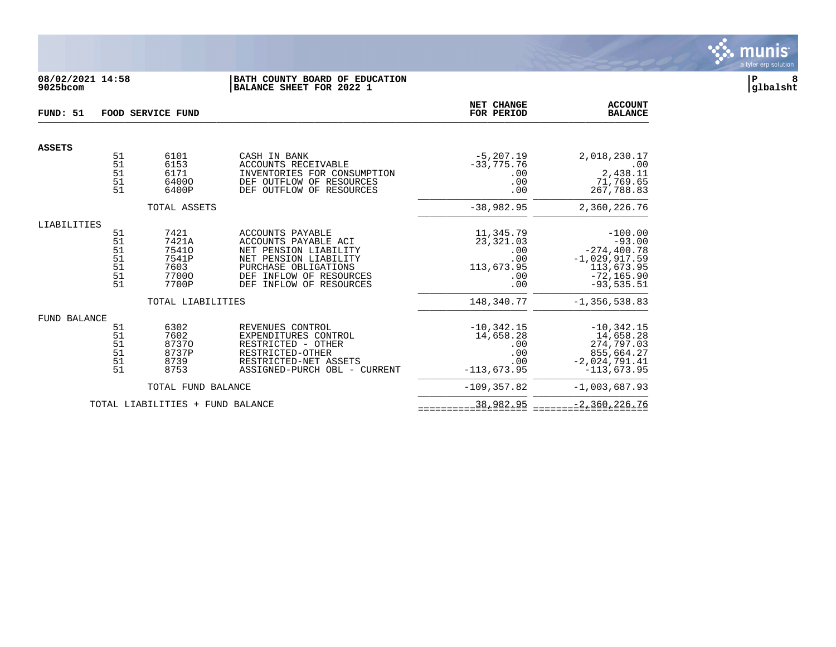

#### **08/02/2021 14:58 |BATH COUNTY BOARD OF EDUCATION |P 8 9025bcom |BALANCE SHEET FOR 2022 1 |glbalsht**

| FUND: 51            | FOOD SERVICE FUND |                                  |                                                      | NET CHANGE<br>FOR PERIOD     | <b>ACCOUNT</b><br><b>BALANCE</b> |
|---------------------|-------------------|----------------------------------|------------------------------------------------------|------------------------------|----------------------------------|
| <b>ASSETS</b>       |                   |                                  |                                                      |                              |                                  |
|                     | 51<br>51          | 6101<br>6153                     | CASH IN BANK<br>ACCOUNTS RECEIVABLE                  | $-5, 207.19$<br>$-33,775.76$ | 2,018,230.17<br>.00              |
|                     | 51                | 6171                             | INVENTORIES FOR CONSUMPTION                          | .00                          | 2,438.11                         |
|                     | 51<br>51          | 64000<br>6400P                   | DEF OUTFLOW OF RESOURCES<br>DEF OUTFLOW OF RESOURCES | .00<br>.00                   | 71,769.65<br>267,788.83          |
|                     |                   | TOTAL ASSETS                     |                                                      | $-38,982.95$                 | 2,360,226.76                     |
| LIABILITIES         |                   |                                  |                                                      |                              |                                  |
|                     | 51<br>51          | 7421<br>7421A                    | ACCOUNTS PAYABLE<br>ACCOUNTS PAYABLE ACI             | 11,345.79<br>23, 321.03      | $-100.00$<br>$-93.00$            |
|                     | 51                | 75410                            | NET PENSION LIABILITY                                | .00                          | $-274, 400.78$                   |
|                     | 51<br>51          | 7541P<br>7603                    | NET PENSION LIABILITY<br>PURCHASE OBLIGATIONS        | .00                          | $-1,029,917.59$                  |
|                     | 51                | 77000                            | DEF INFLOW OF RESOURCES                              | 113,673.95<br>.00            | 113,673.95<br>$-72, 165.90$      |
|                     | 51                | 7700P                            | INFLOW OF RESOURCES<br>DEF                           | .00                          | $-93, 535.51$                    |
|                     |                   | TOTAL LIABILITIES                |                                                      | 148,340.77                   | $-1, 356, 538.83$                |
| <b>FUND BALANCE</b> |                   |                                  |                                                      |                              |                                  |
|                     | 51<br>51          | 6302<br>7602                     | REVENUES CONTROL<br>EXPENDITURES CONTROL             | $-10, 342.15$<br>14,658.28   | $-10, 342.15$<br>14,658.28       |
|                     | 51                | 87370                            | RESTRICTED - OTHER                                   | .00                          | 274,797.03                       |
|                     | 51<br>51          | 8737P<br>8739                    | RESTRICTED-OTHER<br>RESTRICTED-NET ASSETS            | .00<br>.00                   | 855,664.27<br>$-2,024,791.41$    |
|                     | 51                | 8753                             | ASSIGNED-PURCH OBL - CURRENT                         | $-113,673.95$                | $-113,673.95$                    |
|                     |                   | TOTAL FUND BALANCE               |                                                      | $-109, 357.82$               | $-1,003,687.93$                  |
|                     |                   | TOTAL LIABILITIES + FUND BALANCE |                                                      | 38,982.95                    | $-2,360,226.76$                  |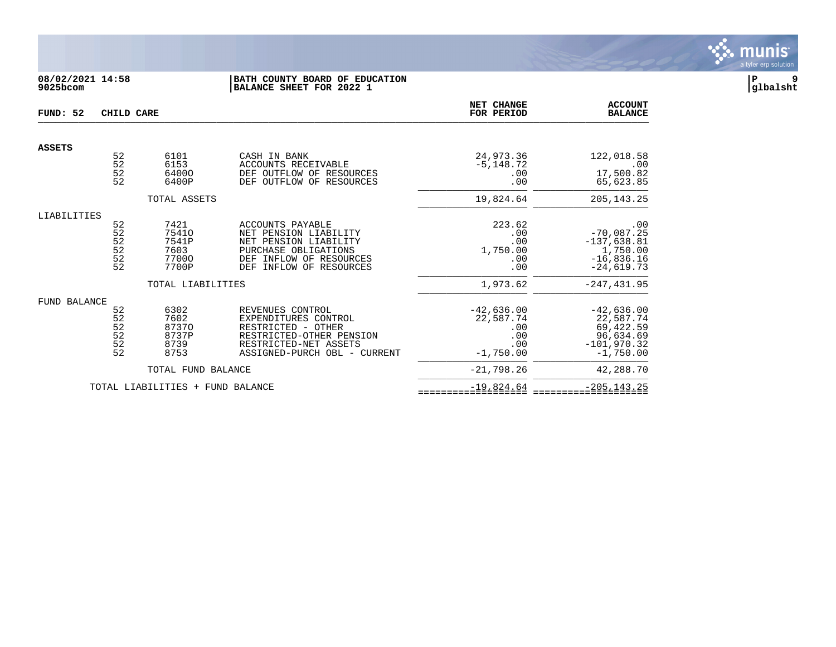

# **08/02/2021 14:58 |BATH COUNTY BOARD OF EDUCATION |P 9 9025bcom |BALANCE SHEET FOR 2022 1 |glbalsht**

| FUND: 52      | CHILD CARE            |                                  | NET CHANGE<br>FOR PERIOD                                        | <b>ACCOUNT</b><br><b>BALANCE</b> |                              |
|---------------|-----------------------|----------------------------------|-----------------------------------------------------------------|----------------------------------|------------------------------|
|               |                       |                                  |                                                                 |                                  |                              |
| <b>ASSETS</b> | 52                    | 6101                             | CASH IN BANK                                                    | 24,973.36                        | 122,018.58                   |
|               | 52                    | 6153                             | ACCOUNTS RECEIVABLE                                             | $-5, 148.72$                     | .00                          |
|               | 52<br>52              | 64000<br>6400P                   | DEF OUTFLOW OF RESOURCES<br>DEF OUTFLOW OF RESOURCES            | .00<br>.00                       | 17,500.82<br>65,623.85       |
|               |                       |                                  |                                                                 |                                  |                              |
|               |                       | TOTAL ASSETS                     |                                                                 | 19,824.64                        | 205, 143. 25                 |
| LIABILITIES   |                       |                                  |                                                                 |                                  |                              |
|               | 52<br>$\overline{52}$ | 7421<br>75410                    | ACCOUNTS PAYABLE<br>NET PENSION LIABILITY                       | 223.62<br>.00                    | .00<br>$-70,087.25$          |
|               | $\frac{52}{52}$       | 7541P                            | NET PENSION LIABILITY                                           | .00                              | $-137,638.81$                |
|               |                       | 7603                             | PURCHASE OBLIGATIONS                                            | 1,750.00                         | 1,750.00                     |
|               | 52<br>52              | 77000<br>7700P                   | INFLOW OF RESOURCES<br>DEF<br>INFLOW OF RESOURCES<br><b>DEF</b> | .00<br>.00                       | $-16,836.16$<br>$-24,619.73$ |
|               |                       |                                  |                                                                 |                                  |                              |
|               |                       | TOTAL LIABILITIES                |                                                                 | 1,973.62                         | $-247, 431.95$               |
| FUND BALANCE  |                       |                                  |                                                                 |                                  |                              |
|               | 52<br>52              | 6302<br>7602                     | REVENUES CONTROL<br>EXPENDITURES CONTROL                        | $-42,636.00$<br>22,587.74        | $-42,636.00$<br>22,587.74    |
|               |                       | 87370                            | RESTRICTED - OTHER                                              | .00                              | 69,422.59                    |
|               | $\frac{52}{52}$       | 8737P                            | RESTRICTED-OTHER PENSION                                        | .00                              | 96,634.69                    |
|               | 52<br>52              | 8739<br>8753                     | RESTRICTED-NET ASSETS<br>ASSIGNED-PURCH OBL - CURRENT           | .00<br>$-1,750.00$               | $-101,970.32$<br>$-1.750.00$ |
|               |                       |                                  |                                                                 |                                  |                              |
|               |                       | TOTAL FUND BALANCE               |                                                                 | $-21,798.26$                     | 42,288.70                    |
|               |                       | TOTAL LIABILITIES + FUND BALANCE |                                                                 | $-19,824.64$                     | $-205, 143.25$               |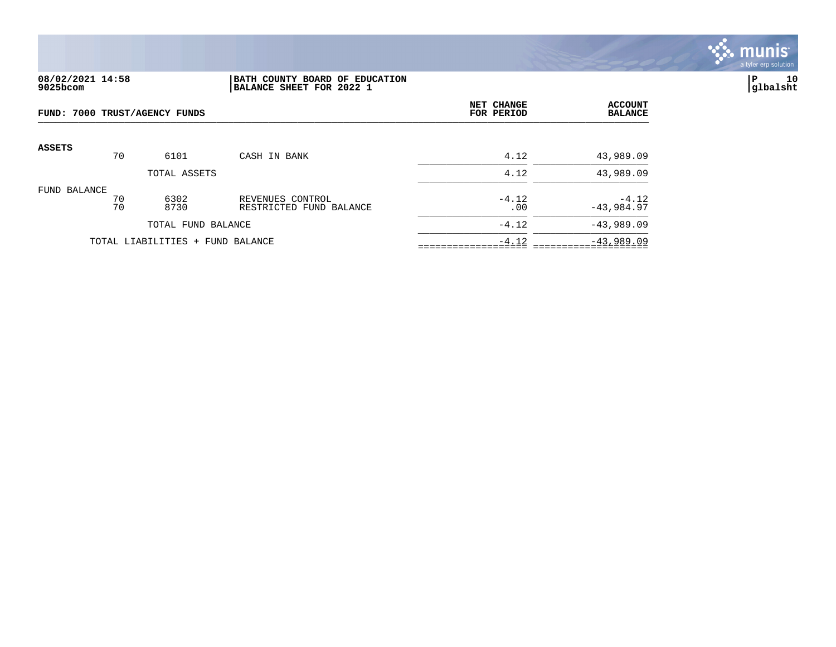

### **08/02/2021 14:58 |BATH COUNTY BOARD OF EDUCATION |P 10 9025bcom |BALANCE SHEET FOR 2022 1 |glbalsht**

| FUND: 7000 TRUST/AGENCY FUNDS    |          |                    | NET CHANGE<br>FOR PERIOD                    | <b>ACCOUNT</b><br><b>BALANCE</b> |                         |
|----------------------------------|----------|--------------------|---------------------------------------------|----------------------------------|-------------------------|
| <b>ASSETS</b>                    | 70       | 6101               | CASH IN BANK                                | 4.12                             | 43,989.09               |
|                                  |          | TOTAL ASSETS       |                                             | 4.12                             | 43,989.09               |
| FUND BALANCE                     | 70<br>70 | 6302<br>8730       | REVENUES CONTROL<br>RESTRICTED FUND BALANCE | $-4.12$<br>.00                   | $-4.12$<br>$-43,984.97$ |
|                                  |          | TOTAL FUND BALANCE |                                             | $-4.12$                          | $-43,989.09$            |
| TOTAL LIABILITIES + FUND BALANCE |          |                    |                                             | $-4.12$                          | $-43,989.09$            |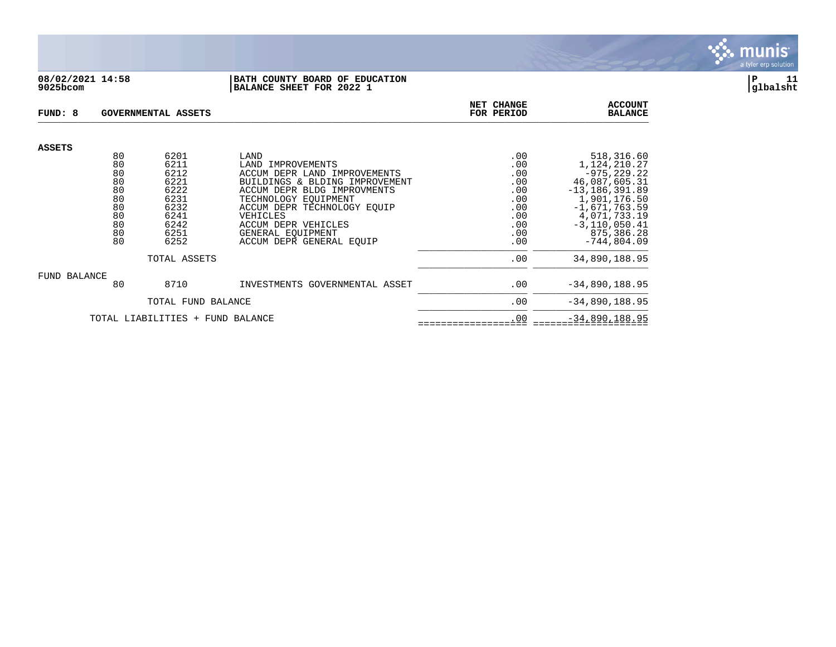

### **08/02/2021 14:58 |BATH COUNTY BOARD OF EDUCATION |P 11 9025bcom |BALANCE SHEET FOR 2022 1 |glbalsht**

| FUND: 8<br>GOVERNMENTAL ASSETS   |                                                          |                                                                              |                                                                                                                                                                                                                                                               | NET CHANGE<br>FOR PERIOD                                           | <b>ACCOUNT</b><br><b>BALANCE</b>                                                                                                                                             |
|----------------------------------|----------------------------------------------------------|------------------------------------------------------------------------------|---------------------------------------------------------------------------------------------------------------------------------------------------------------------------------------------------------------------------------------------------------------|--------------------------------------------------------------------|------------------------------------------------------------------------------------------------------------------------------------------------------------------------------|
| <b>ASSETS</b>                    | 80                                                       | 6201                                                                         | LAND                                                                                                                                                                                                                                                          | .00                                                                | 518,316.60                                                                                                                                                                   |
|                                  | 80<br>80<br>80<br>80<br>80<br>80<br>80<br>80<br>80<br>80 | 6211<br>6212<br>6221<br>6222<br>6231<br>6232<br>6241<br>6242<br>6251<br>6252 | LAND IMPROVEMENTS<br>ACCUM DEPR LAND IMPROVEMENTS<br>BUILDINGS & BLDING IMPROVEMENT<br>ACCUM DEPR BLDG IMPROVMENTS<br>TECHNOLOGY EOUIPMENT<br>ACCUM DEPR TECHNOLOGY EOUIP<br>VEHICLES<br>ACCUM DEPR VEHICLES<br>GENERAL EQUIPMENT<br>ACCUM DEPR GENERAL EOUIP | .00<br>.00<br>.00<br>.00<br>.00<br>.00<br>.00<br>.00<br>.00<br>.00 | 1,124,210.27<br>$-975, 229.22$<br>46,087,605.31<br>$-13, 186, 391.89$<br>1,901,176.50<br>$-1,671,763.59$<br>4,071,733.19<br>$-3, 110, 050.41$<br>875,386.28<br>$-744,804.09$ |
|                                  |                                                          | TOTAL ASSETS                                                                 |                                                                                                                                                                                                                                                               | .00                                                                | 34,890,188.95                                                                                                                                                                |
| <b>FUND BALANCE</b>              | 80                                                       | 8710                                                                         | INVESTMENTS GOVERNMENTAL ASSET                                                                                                                                                                                                                                | .00                                                                | $-34,890,188.95$                                                                                                                                                             |
|                                  |                                                          | TOTAL FUND BALANCE                                                           |                                                                                                                                                                                                                                                               | .00                                                                | $-34,890,188.95$                                                                                                                                                             |
| TOTAL LIABILITIES + FUND BALANCE |                                                          |                                                                              | .00                                                                                                                                                                                                                                                           | $-34,890,188.95$                                                   |                                                                                                                                                                              |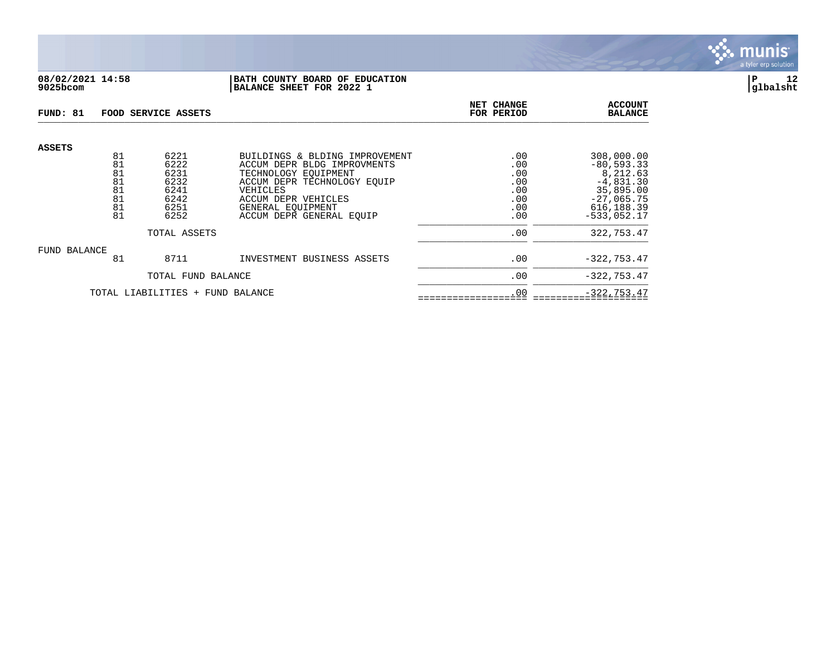

### **08/02/2021 14:58 |BATH COUNTY BOARD OF EDUCATION |P 12 9025bcom |BALANCE SHEET FOR 2022 1 |glbalsht**

| FUND: 81                         |                                  | FOOD SERVICE ASSETS                          | NET CHANGE<br>FOR PERIOD                                                                                                                                | <b>ACCOUNT</b><br><b>BALANCE</b>       |                                                                                     |
|----------------------------------|----------------------------------|----------------------------------------------|---------------------------------------------------------------------------------------------------------------------------------------------------------|----------------------------------------|-------------------------------------------------------------------------------------|
| <b>ASSETS</b>                    | 81<br>81<br>81<br>81<br>81<br>81 | 6221<br>6222<br>6231<br>6232<br>6241<br>6242 | BUILDINGS & BLDING IMPROVEMENT<br>ACCUM DEPR BLDG IMPROVMENTS<br>TECHNOLOGY EOUIPMENT<br>ACCUM DEPR TECHNOLOGY EOUIP<br>VEHICLES<br>ACCUM DEPR VEHICLES | .00<br>.00<br>.00<br>.00<br>.00<br>.00 | 308,000.00<br>$-80, 593.33$<br>8,212.63<br>$-4,831.30$<br>35,895.00<br>$-27,065.75$ |
|                                  | 81<br>81                         | 6251<br>6252                                 | GENERAL EOUIPMENT<br>ACCUM DEPR GENERAL EOUIP                                                                                                           | .00<br>.00                             | 616, 188.39<br>$-533.052.17$                                                        |
|                                  |                                  | TOTAL ASSETS                                 | .00                                                                                                                                                     | 322,753.47                             |                                                                                     |
| FUND BALANCE                     | 81                               | 8711                                         | INVESTMENT BUSINESS ASSETS                                                                                                                              | .00                                    | $-322, 753.47$                                                                      |
|                                  | TOTAL FUND BALANCE               |                                              |                                                                                                                                                         | .00                                    | $-322, 753.47$                                                                      |
| TOTAL LIABILITIES + FUND BALANCE |                                  |                                              |                                                                                                                                                         | .00                                    | $-322, 753.47$                                                                      |